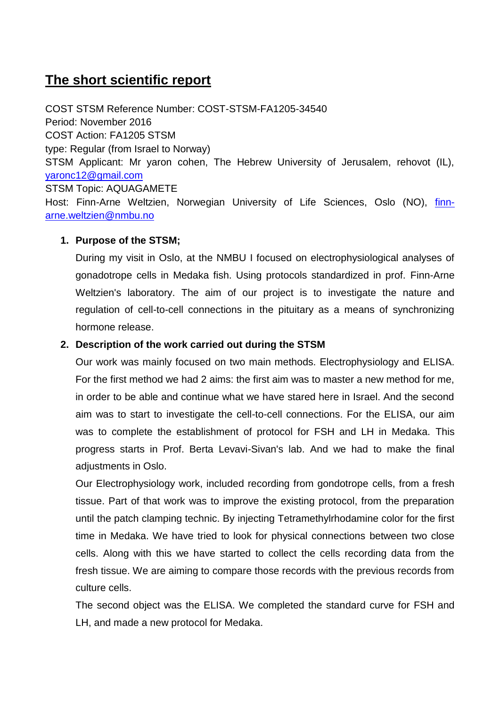# **The short scientific report**

COST STSM Reference Number: COST-STSM-FA1205-34540 Period: November 2016 COST Action: FA1205 STSM type: Regular (from Israel to Norway) STSM Applicant: Mr yaron cohen, The Hebrew University of Jerusalem, rehovot (IL), [yaronc12@gmail.com](mailto:yaronc12@gmail.com) STSM Topic: AQUAGAMETE Host: Finn-Arne Weltzien, Norwegian University of Life Sciences, Oslo (NO), [finn](mailto:finn-arne.weltzien@nmbu.no)[arne.weltzien@nmbu.no](mailto:finn-arne.weltzien@nmbu.no)

## **1. Purpose of the STSM;**

During my visit in Oslo, at the NMBU I focused on electrophysiological analyses of gonadotrope cells in Medaka fish. Using protocols standardized in prof. Finn-Arne Weltzien's laboratory. The aim of our project is to investigate the nature and regulation of cell-to-cell connections in the pituitary as a means of synchronizing hormone release.

## **2. Description of the work carried out during the STSM**

Our work was mainly focused on two main methods. Electrophysiology and ELISA. For the first method we had 2 aims: the first aim was to master a new method for me, in order to be able and continue what we have stared here in Israel. And the second aim was to start to investigate the cell-to-cell connections. For the ELISA, our aim was to complete the establishment of protocol for FSH and LH in Medaka. This progress starts in Prof. Berta Levavi-Sivan's lab. And we had to make the final adjustments in Oslo.

Our Electrophysiology work, included recording from gondotrope cells, from a fresh tissue. Part of that work was to improve the existing protocol, from the preparation until the patch clamping technic. By injecting Tetramethylrhodamine color for the first time in Medaka. We have tried to look for physical connections between two close cells. Along with this we have started to collect the cells recording data from the fresh tissue. We are aiming to compare those records with the previous records from culture cells.

The second object was the ELISA. We completed the standard curve for FSH and LH, and made a new protocol for Medaka.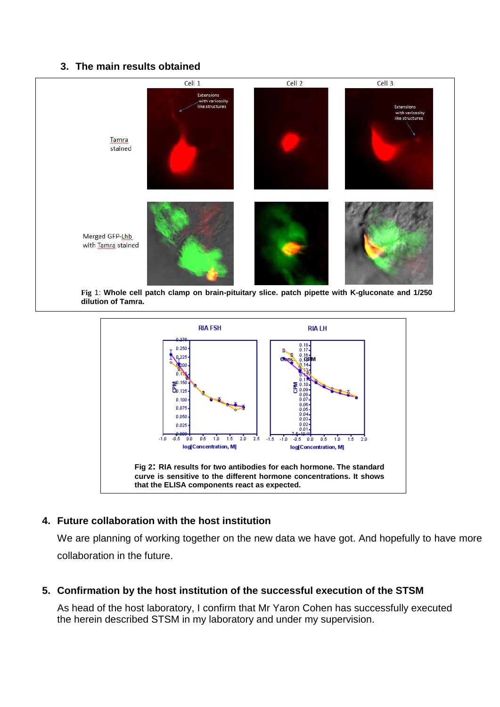### **3. The main results obtained**





## **4. Future collaboration with the host institution**

We are planning of working together on the new data we have got. And hopefully to have more collaboration in the future.

**5. Confirmation by the host institution of the successful execution of the STSM**

As head of the host laboratory, I confirm that Mr Yaron Cohen has successfully executed the herein described STSM in my laboratory and under my supervision.